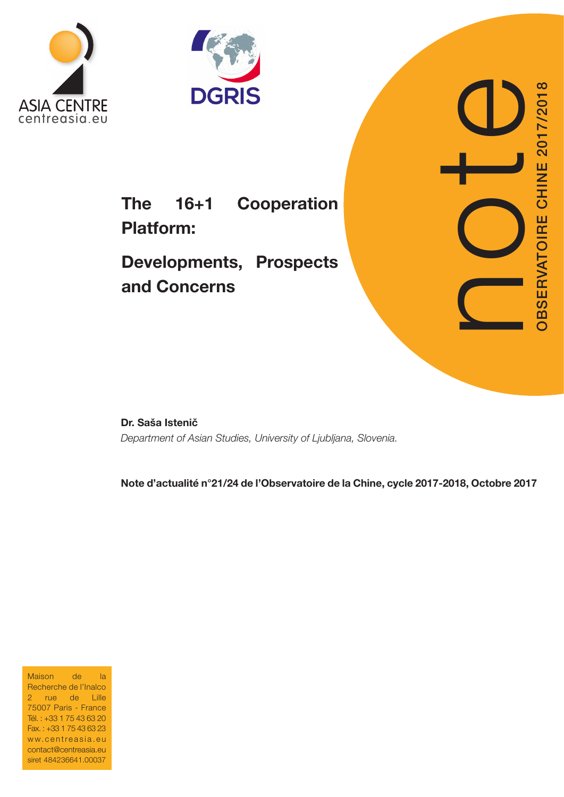



# The 16+1 Cooperation Platform:

Developments, Prospects and Concerns

Dr. Saša Istenič Department of Asian Studies, University of Ljubljana, Slovenia.

Note d'actualité n°21/24 de l'Observatoire de la Chine, cycle 2017-2018, Octobre 2017

Maison de la Recherche de l'Inalco 2 rue de Lille 75007 Paris - France Tél. : +33 1 75 43 63 20 Fax. : +33 1 75 43 63 23 ww.centreasia.eu contact@centreasia.eu siret 484236641.00037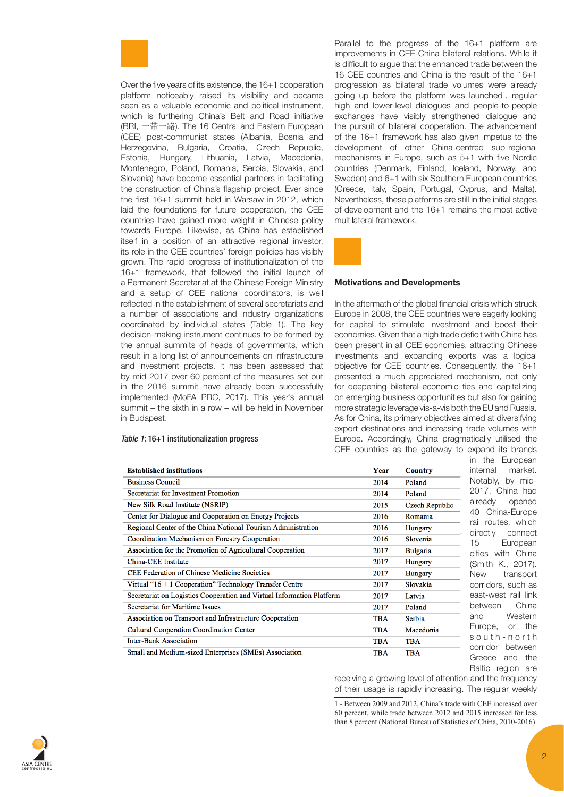

Over the five years of its existence, the 16+1 cooperation platform noticeably raised its visibility and became seen as a valuable economic and political instrument, which is furthering China's Belt and Road initiative (BRI, 一带一路). The 16 Central and Eastern European (CEE) post-communist states (Albania, Bosnia and Herzegovina, Bulgaria, Croatia, Czech Republic, Estonia, Hungary, Lithuania, Latvia, Macedonia, Montenegro, Poland, Romania, Serbia, Slovakia, and Slovenia) have become essential partners in facilitating the construction of China's flagship project. Ever since the first 16+1 summit held in Warsaw in 2012, which laid the foundations for future cooperation, the CEE countries have gained more weight in Chinese policy towards Europe. Likewise, as China has established itself in a position of an attractive regional investor, its role in the CEE countries' foreign policies has visibly grown. The rapid progress of institutionalization of the 16+1 framework, that followed the initial launch of a Permanent Secretariat at the Chinese Foreign Ministry and a setup of CEE national coordinators, is well reflected in the establishment of several secretariats and a number of associations and industry organizations coordinated by individual states (Table 1). The key decision-making instrument continues to be formed by the annual summits of heads of governments, which result in a long list of announcements on infrastructure and investment projects. It has been assessed that by mid-2017 over 60 percent of the measures set out in the 2016 summit have already been successfully implemented (MoFA PRC, 2017). This year's annual summit – the sixth in a row – will be held in November in Budapest.

# *Table 1*: 16+1 institutionalization progress

Parallel to the progress of the 16+1 platform are improvements in CEE-China bilateral relations. While it is difficult to argue that the enhanced trade between the 16 CEE countries and China is the result of the 16+1 progression as bilateral trade volumes were already going up before the platform was launched<sup>1</sup>, regular high and lower-level dialogues and people-to-people exchanges have visibly strengthened dialogue and the pursuit of bilateral cooperation. The advancement of the 16+1 framework has also given impetus to the development of other China-centred sub-regional mechanisms in Europe, such as 5+1 with five Nordic countries (Denmark, Finland, Iceland, Norway, and Sweden) and 6+1 with six Southern European countries (Greece, Italy, Spain, Portugal, Cyprus, and Malta). Nevertheless, these platforms are still in the initial stages of development and the 16+1 remains the most active multilateral framework.



#### Motivations and Developments

In the aftermath of the global financial crisis which struck Europe in 2008, the CEE countries were eagerly looking for capital to stimulate investment and boost their economies. Given that a high trade deficit with China has been present in all CEE economies, attracting Chinese investments and expanding exports was a logical objective for CEE countries. Consequently, the 16+1 presented a much appreciated mechanism, not only for deepening bilateral economic ties and capitalizing on emerging business opportunities but also for gaining more strategic leverage vis-a-vis both the EU and Russia. As for China, its primary objectives aimed at diversifying export destinations and increasing trade volumes with Europe. Accordingly, China pragmatically utilised the CEE countries as the gateway to expand its brands

| <b>Established institutions</b>                                       | Year       | <b>Country</b>  |
|-----------------------------------------------------------------------|------------|-----------------|
| <b>Business Council</b>                                               | 2014       | Poland          |
| Secretariat for Investment Promotion                                  | 2014       | Poland          |
| New Silk Road Institute (NSRIP)                                       | 2015       | Czech Republic  |
| Center for Dialogue and Cooperation on Energy Projects                | 2016       | Romania         |
| Regional Center of the China National Tourism Administration          | 2016       | Hungary         |
| Coordination Mechanism on Forestry Cooperation                        | 2016       | Slovenia        |
| Association for the Promotion of Agricultural Cooperation             | 2017       | <b>Bulgaria</b> |
| China-CEE Institute                                                   | 2017       | Hungary         |
| <b>CEE Federation of Chinese Medicine Societies</b>                   | 2017       | Hungary         |
| Virtual "16 + 1 Cooperation" Technology Transfer Centre               | 2017       | Slovakia        |
| Secretariat on Logistics Cooperation and Virtual Information Platform | 2017       | Latvia          |
| Secretariat for Maritime Issues                                       | 2017       | Poland          |
| Association on Transport and Infrastructure Cooperation               | <b>TBA</b> | Serbia          |
| <b>Cultural Cooperation Coordination Center</b>                       | <b>TBA</b> | Macedonia       |
| <b>Inter-Bank Association</b>                                         | <b>TBA</b> | <b>TBA</b>      |
| Small and Medium-sized Enterprises (SMEs) Association                 | <b>TBA</b> | <b>TBA</b>      |

in the European nternal market. Notably, by mid-2017, China had dready opened 40 China-Europe ail routes, which directly connect 5 European cities with China Smith K., 2017). New transport corridors, such as east-west rail link between China and Western Europe, or the o u t h - n o r t h corridor between Greece and the Baltic region are

receiving a growing level of attention and the frequency of their usage is rapidly increasing. The regular weekly

1 - Between 2009 and 2012, China's trade with CEE increased over 60 percent, while trade between 2012 and 2015 increased for less than 8 percent (National Bureau of Statistics of China, 2010-2016).

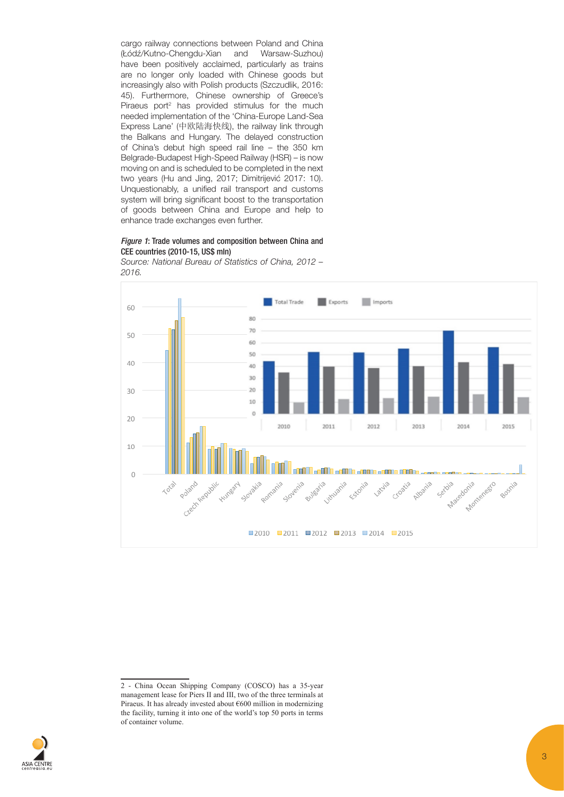cargo railway connections between Poland and China (Łódź/Kutno-Chengdu-Xian and Warsaw-Suzhou) have been positively acclaimed, particularly as trains are no longer only loaded with Chinese goods but increasingly also with Polish products (Szczudlik, 2016: 45). Furthermore, Chinese ownership of Greece's Piraeus port<sup>2</sup> has provided stimulus for the much needed implementation of the 'China-Europe Land-Sea Express Lane' (中欧陆海快线), the railway link through the Balkans and Hungary. The delayed construction of China's debut high speed rail line – the 350 km Belgrade-Budapest High-Speed Railway (HSR) – is now moving on and is scheduled to be completed in the next two years (Hu and Jing, 2017; Dimitrijević 2017: 10). Unquestionably, a unified rail transport and customs system will bring significant boost to the transportation of goods between China and Europe and help to enhance trade exchanges even further.

## *Figure 1*: Trade volumes and composition between China and CEE countries (2010-15, US\$ mln)

Source: National Bureau of Statistics of China, 2012 – 2016.





<sup>2 -</sup> China Ocean Shipping Company (COSCO) has a 35-year management lease for Piers II and III, two of the three terminals at Piraeus. It has already invested about €600 million in modernizing the facility, turning it into one of the world's top 50 ports in terms of container volume.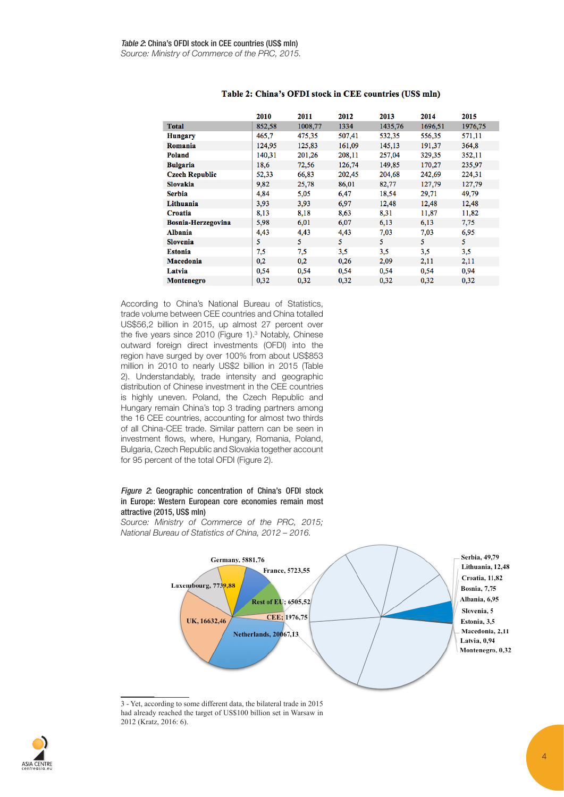|                       | 2010   | 2011    | 2012   | 2013    | 2014    | 2015    |
|-----------------------|--------|---------|--------|---------|---------|---------|
| <b>Total</b>          | 852,58 | 1008,77 | 1334   | 1435,76 | 1696,51 | 1976,75 |
| <b>Hungary</b>        | 465,7  | 475,35  | 507,41 | 532,35  | 556,35  | 571,11  |
| Romania               | 124,95 | 125,83  | 161,09 | 145,13  | 191,37  | 364,8   |
| <b>Poland</b>         | 140,31 | 201,26  | 208,11 | 257,04  | 329,35  | 352,11  |
| <b>Bulgaria</b>       | 18,6   | 72,56   | 126,74 | 149,85  | 170,27  | 235,97  |
| <b>Czech Republic</b> | 52,33  | 66,83   | 202,45 | 204,68  | 242,69  | 224,31  |
| <b>Slovakia</b>       | 9,82   | 25,78   | 86,01  | 82,77   | 127,79  | 127,79  |
| <b>Serbia</b>         | 4,84   | 5,05    | 6,47   | 18,54   | 29,71   | 49,79   |
| Lithuania             | 3,93   | 3,93    | 6,97   | 12,48   | 12,48   | 12,48   |
| Croatia               | 8,13   | 8,18    | 8,63   | 8,31    | 11,87   | 11,82   |
| Bosnia-Herzegovina    | 5,98   | 6,01    | 6,07   | 6,13    | 6,13    | 7,75    |
| <b>Albania</b>        | 4,43   | 4,43    | 4,43   | 7,03    | 7,03    | 6,95    |
| <b>Slovenia</b>       | 5      | 5.      | 5      | 5.      | 5       | 5.      |
| <b>Estonia</b>        | 7,5    | 7,5     | 3,5    | 3,5     | 3,5     | 3,5     |
| Macedonia             | 0,2    | 0,2     | 0,26   | 2,09    | 2,11    | 2,11    |
| Latvia                | 0,54   | 0,54    | 0,54   | 0,54    | 0,54    | 0,94    |
| <b>Montenegro</b>     | 0,32   | 0,32    | 0,32   | 0,32    | 0,32    | 0,32    |

# Table 2: China's OFDI stock in CEE countries (US\$ mln)

According to China's National Bureau of Statistics, trade volume between CEE countries and China totalled US\$56,2 billion in 2015, up almost 27 percent over the five years since 2010 (Figure 1).<sup>3</sup> Notably, Chinese outward foreign direct investments (OFDI) into the region have surged by over 100% from about US\$853 million in 2010 to nearly US\$2 billion in 2015 (Table 2). Understandably, trade intensity and geographic distribution of Chinese investment in the CEE countries is highly uneven. Poland, the Czech Republic and Hungary remain China's top 3 trading partners among the 16 CEE countries, accounting for almost two thirds of all China-CEE trade. Similar pattern can be seen in investment flows, where, Hungary, Romania, Poland, Bulgaria, Czech Republic and Slovakia together account for 95 percent of the total OFDI (Figure 2).

# *Figure 2*: Geographic concentration of China's OFDI stock in Europe: Western European core economies remain most attractive (2015, US\$ mln)

Source: Ministry of Commerce of the PRC, 2015; National Bureau of Statistics of China, 2012 – 2016.



3 - Yet, according to some different data, the bilateral trade in 2015 had already reached the target of US\$100 billion set in Warsaw in 2012 (Kratz, 2016: 6).

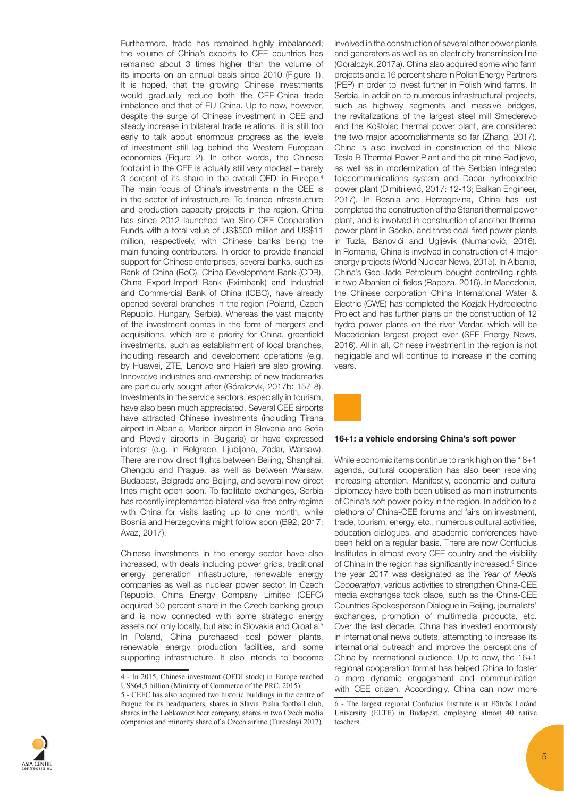Furthermore, trade has remained highly imbalanced; the volume of China's exports to CEE countries has remained about 3 times higher than the volume of its imports on an annual basis since 2010 (Figure 1). It is hoped, that the growing Chinese investments would gradually reduce both the CEE-China trade imbalance and that of EU-China. Up to now, however, despite the surge of Chinese investment in CEE and steady increase in bilateral trade relations, it is still too early to talk about enormous progress as the levels of investment still lag behind the Western European economies (Figure 2). In other words, the Chinese footprint in the CEE is actually still very modest – barely 3 percent of its share in the overall OFDI in Europe.<sup>4</sup> The main focus of China's investments in the CEE is in the sector of infrastructure. To finance infrastructure and production capacity projects in the region, China has since 2012 launched two Sino-CEE Cooperation Funds with a total value of US\$500 million and US\$11 million, respectively, with Chinese banks being the main funding contributors. In order to provide financial support for Chinese enterprises, several banks, such as Bank of China (BoC), China Development Bank (CDB), China Export-Import Bank (Eximbank) and Industrial and Commercial Bank of China (ICBC), have already opened several branches in the region (Poland, Czech Republic, Hungary, Serbia). Whereas the vast majority of the investment comes in the form of mergers and acquisitions, which are a priority for China, greenfield investments, such as establishment of local branches, including research and development operations (e.g. by Huawei, ZTE, Lenovo and Haier) are also growing. Innovative industries and ownership of new trademarks are particularly sought after (Góralczyk, 2017b: 157-8). Investments in the service sectors, especially in tourism, have also been much appreciated. Several CEE airports have attracted Chinese investments (including Tirana airport in Albania, Maribor airport in Slovenia and Sofia and Plovdiv airports in Bulgaria) or have expressed interest (e.g. in Belgrade, Ljubljana, Zadar, Warsaw). There are now direct flights between Beijing, Shanghai, Chengdu and Prague, as well as between Warsaw, Budapest, Belgrade and Beijing, and several new direct lines might open soon. To facilitate exchanges, Serbia has recently implemented bilateral visa-free entry regime with China for visits lasting up to one month, while Bosnia and Herzegovina might follow soon (B92, 2017; Avaz, 2017).

Chinese investments in the energy sector have also increased, with deals including power grids, traditional energy generation infrastructure, renewable energy companies as well as nuclear power sector. In Czech Republic, China Energy Company Limited (CEFC) acquired 50 percent share in the Czech banking group and is now connected with some strategic energy assets not only locally, but also in Slovakia and Croatia.<sup>5</sup> In Poland, China purchased coal power plants, renewable energy production facilities, and some supporting infrastructure. It also intends to become involved in the construction of several other power plants and generators as well as an electricity transmission line (Góralczyk, 2017a). China also acquired some wind farm projects and a 16 percent share in Polish Energy Partners (PEP) in order to invest further in Polish wind farms. In Serbia, in addition to numerous infrastructural projects, such as highway segments and massive bridges, the revitalizations of the largest steel mill Smederevo and the Koštolac thermal power plant, are considered the two major accomplishments so far (Zhang, 2017). China is also involved in construction of the Nikola Tesla B Thermal Power Plant and the pit mine Radljevo, as well as in modernization of the Serbian integrated telecommunications system and Dabar hydroelectric power plant (Dimitrijević, 2017: 12-13; Balkan Engineer, 2017). In Bosnia and Herzegovina, China has just completed the construction of the Stanari thermal power plant, and is involved in construction of another thermal power plant in Gacko, and three coal-fired power plants in Tuzla, Banovići and Ugljevik (Numanović, 2016). In Romania, China is involved in construction of 4 major energy projects (World Nuclear News, 2015). In Albania, China's Geo-Jade Petroleum bought controlling rights in two Albanian oil fields (Rapoza, 2016). In Macedonia, the Chinese corporation China International Water & Electric (CWE) has completed the Kozjak Hydroelectric Project and has further plans on the construction of 12 hydro power plants on the river Vardar, which will be Macedonian largest project ever (SEE Energy News, 2016). All in all, Chinese investment in the region is not negligable and will continue to increase in the coming years.



#### 16+1: a vehicle endorsing China's soft power

While economic items continue to rank high on the 16+1 agenda, cultural cooperation has also been receiving increasing attention. Manifestly, economic and cultural diplomacy have both been utilised as main instruments of China's soft power policy in the region. In addition to a plethora of China-CEE forums and fairs on investment, trade, tourism, energy, etc., numerous cultural activities, education dialogues, and academic conferences have been held on a regular basis. There are now Confucius Institutes in almost every CEE country and the visibility of China in the region has significantly increased.<sup>6</sup> Since the year 2017 was designated as the Year of Media Cooperation, various activities to strengthen China-CEE media exchanges took place, such as the China-CEE Countries Spokesperson Dialogue in Beijing, journalists' exchanges, promotion of multimedia products, etc. Over the last decade, China has invested enormously in international news outlets, attempting to increase its international outreach and improve the perceptions of China by international audience. Up to now, the 16+1 regional cooperation format has helped China to foster a more dynamic engagement and communication with CEE citizen. Accordingly, China can now more



<sup>4 -</sup> In 2015, Chinese investment (OFDI stock) in Europe reached US\$64,5 billion (Ministry of Commerce of the PRC, 2015).

<sup>5 -</sup> CEFC has also acquired two historic buildings in the centre of Prague for its headquarters, shares in Slavia Praha football club, shares in the Lobkowicz beer company, shares in two Czech media companies and minority share of a Czech airline (Turcsányi 2017).

<sup>6 -</sup> The largest regional Confucius Institute is at Eötvös Loránd University (ELTE) in Budapest, employing almost 40 native teachers.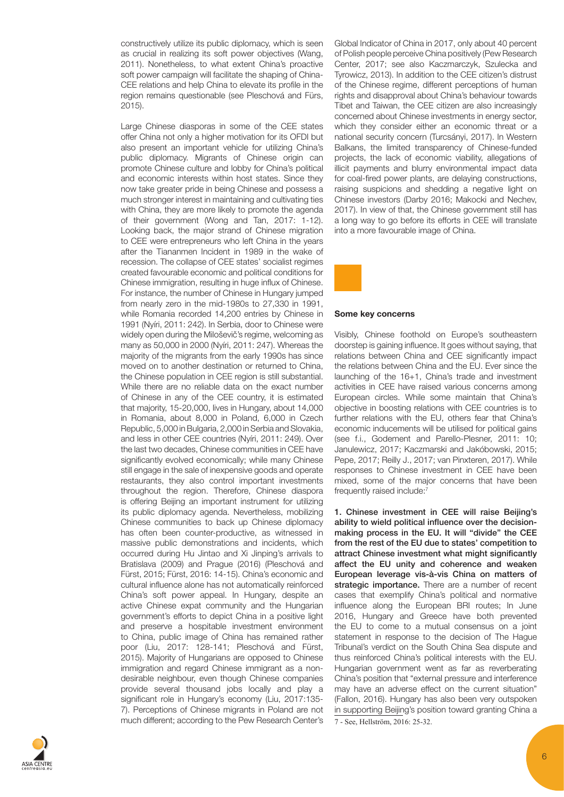constructively utilize its public diplomacy, which is seen as crucial in realizing its soft power objectives (Wang, 2011). Nonetheless, to what extent China's proactive soft power campaign will facilitate the shaping of China-CEE relations and help China to elevate its profile in the region remains questionable (see Pleschová and Fürs, 2015).

Large Chinese diasporas in some of the CEE states offer China not only a higher motivation for its OFDI but also present an important vehicle for utilizing China's public diplomacy. Migrants of Chinese origin can promote Chinese culture and lobby for China's political and economic interests within host states. Since they now take greater pride in being Chinese and possess a much stronger interest in maintaining and cultivating ties with China, they are more likely to promote the agenda of their government (Wong and Tan, 2017: 1-12). Looking back, the major strand of Chinese migration to CEE were entrepreneurs who left China in the years after the Tiananmen Incident in 1989 in the wake of recession. The collapse of CEE states' socialist regimes created favourable economic and political conditions for Chinese immigration, resulting in huge influx of Chinese. For instance, the number of Chinese in Hungary jumped from nearly zero in the mid-1980s to 27,330 in 1991, while Romania recorded 14,200 entries by Chinese in 1991 (Nyíri, 2011: 242). In Serbia, door to Chinese were widely open during the Miloševič's regime, welcoming as many as 50,000 in 2000 (Nyíri, 2011: 247). Whereas the majority of the migrants from the early 1990s has since moved on to another destination or returned to China, the Chinese population in CEE region is still substantial. While there are no reliable data on the exact number of Chinese in any of the CEE country, it is estimated that majority, 15-20,000, lives in Hungary, about 14,000 in Romania, about 8,000 in Poland, 6,000 in Czech Republic, 5,000 in Bulgaria, 2,000 in Serbia and Slovakia, and less in other CEE countries (Nyíri, 2011: 249). Over the last two decades, Chinese communities in CEE have significantly evolved economically; while many Chinese still engage in the sale of inexpensive goods and operate restaurants, they also control important investments throughout the region. Therefore, Chinese diaspora is offering Beijing an important instrument for utilizing its public diplomacy agenda. Nevertheless, mobilizing Chinese communities to back up Chinese diplomacy has often been counter-productive, as witnessed in massive public demonstrations and incidents, which occurred during Hu Jintao and Xi Jinping's arrivals to Bratislava (2009) and Prague (2016) (Pleschová and Fürst, 2015; Fürst, 2016: 14-15). China's economic and cultural influence alone has not automatically reinforced China's soft power appeal. In Hungary, despite an active Chinese expat community and the Hungarian government's efforts to depict China in a positive light and preserve a hospitable investment environment to China, public image of China has remained rather poor (Liu, 2017: 128-141; Pleschová and Fürst, 2015). Majority of Hungarians are opposed to Chinese immigration and regard Chinese immigrant as a nondesirable neighbour, even though Chinese companies provide several thousand jobs locally and play a significant role in Hungary's economy (Liu, 2017:135- 7). Perceptions of Chinese migrants in Poland are not much different; according to the Pew Research Center's

Global Indicator of China in 2017, only about 40 percent of Polish people perceive China positively (Pew Research Center, 2017; see also Kaczmarczyk, Szulecka and Tyrowicz, 2013). In addition to the CEE citizen's distrust of the Chinese regime, different perceptions of human rights and disapproval about China's behaviour towards Tibet and Taiwan, the CEE citizen are also increasingly concerned about Chinese investments in energy sector, which they consider either an economic threat or a national security concern (Turcsányi, 2017). In Western Balkans, the limited transparency of Chinese-funded projects, the lack of economic viability, allegations of illicit payments and blurry environmental impact data for coal-fired power plants, are delaying constructions, raising suspicions and shedding a negative light on Chinese investors (Darby 2016; Makocki and Nechev, 2017). In view of that, the Chinese government still has a long way to go before its efforts in CEE will translate into a more favourable image of China.



## Some key concerns

Visibly, Chinese foothold on Europe's southeastern doorstep is gaining influence. It goes without saying, that relations between China and CEE significantly impact the relations between China and the EU. Ever since the launching of the 16+1, China's trade and investment activities in CEE have raised various concerns among European circles. While some maintain that China's objective in boosting relations with CEE countries is to further relations with the EU, others fear that China's economic inducements will be utilised for political gains (see f.i., Godement and Parello-Plesner, 2011: 10; Janulewicz, 2017; Kaczmarski and Jakóbowski, 2015; Pepe, 2017; Reilly J., 2017; van Pinxteren, 2017). While responses to Chinese investment in CEE have been mixed, some of the major concerns that have been frequently raised include:<sup>7</sup>

1. Chinese investment in CEE will raise Beijing's ability to wield political influence over the decisionmaking process in the EU. It will "divide" the CEE from the rest of the EU due to states' competition to attract Chinese investment what might significantly affect the EU unity and coherence and weaken European leverage vis-à-vis China on matters of strategic importance. There are a number of recent cases that exemplify China's political and normative influence along the European BRI routes; In June 2016, Hungary and Greece have both prevented the EU to come to a mutual consensus on a joint statement in response to the decision of The Hague Tribunal's verdict on the South China Sea dispute and thus reinforced China's political interests with the EU. Hungarian government went as far as reverberating China's position that "external pressure and interference may have an adverse effect on the current situation" (Fallon, 2016). Hungary has also been very outspoken in supporting Beijing's position toward granting China a 7 - See, Hellström, 2016: 25-32.

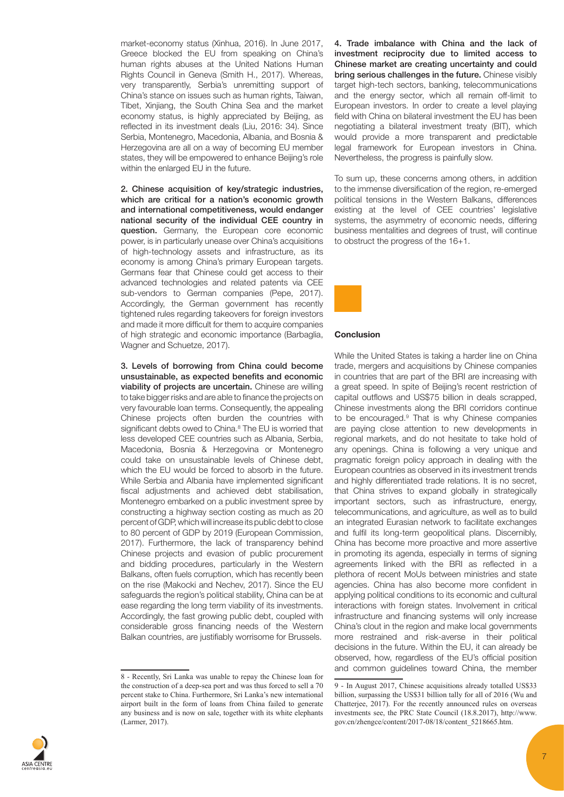market-economy status (Xinhua, 2016). In June 2017, Greece blocked the EU from speaking on China's human rights abuses at the United Nations Human Rights Council in Geneva (Smith H., 2017). Whereas, very transparently, Serbia's unremitting support of China's stance on issues such as human rights, Taiwan, Tibet, Xinjiang, the South China Sea and the market economy status, is highly appreciated by Beijing, as reflected in its investment deals (Liu, 2016: 34). Since Serbia, Montenegro, Macedonia, Albania, and Bosnia & Herzegovina are all on a way of becoming EU member states, they will be empowered to enhance Beijing's role within the enlarged EU in the future.

2. Chinese acquisition of key/strategic industries, which are critical for a nation's economic growth and international competitiveness, would endanger national security of the individual CEE country in question. Germany, the European core economic power, is in particularly unease over China's acquisitions of high-technology assets and infrastructure, as its economy is among China's primary European targets. Germans fear that Chinese could get access to their advanced technologies and related patents via CEE sub-vendors to German companies (Pepe, 2017). Accordingly, the German government has recently tightened rules regarding takeovers for foreign investors and made it more difficult for them to acquire companies of high strategic and economic importance (Barbaglia, Wagner and Schuetze, 2017).

3. Levels of borrowing from China could become unsustainable, as expected benefits and economic viability of projects are uncertain. Chinese are willing to take bigger risks and are able to finance the projects on very favourable loan terms. Consequently, the appealing Chinese projects often burden the countries with significant debts owed to China.<sup>8</sup> The EU is worried that less developed CEE countries such as Albania, Serbia, Macedonia, Bosnia & Herzegovina or Montenegro could take on unsustainable levels of Chinese debt, which the EU would be forced to absorb in the future. While Serbia and Albania have implemented significant fiscal adjustments and achieved debt stabilisation, Montenegro embarked on a public investment spree by constructing a highway section costing as much as 20 percent of GDP, which will increase its public debt to close to 80 percent of GDP by 2019 (European Commission, 2017). Furthermore, the lack of transparency behind Chinese projects and evasion of public procurement and bidding procedures, particularly in the Western Balkans, often fuels corruption, which has recently been on the rise (Makocki and Nechev, 2017). Since the EU safeguards the region's political stability, China can be at ease regarding the long term viability of its investments. Accordingly, the fast growing public debt, coupled with considerable gross financing needs of the Western Balkan countries, are justifiably worrisome for Brussels.

4. Trade imbalance with China and the lack of investment reciprocity due to limited access to Chinese market are creating uncertainty and could bring serious challenges in the future. Chinese visibly target high-tech sectors, banking, telecommunications and the energy sector, which all remain off-limit to European investors. In order to create a level playing field with China on bilateral investment the EU has been negotiating a bilateral investment treaty (BIT), which would provide a more transparent and predictable legal framework for European investors in China. Nevertheless, the progress is painfully slow.

To sum up, these concerns among others, in addition to the immense diversification of the region, re-emerged political tensions in the Western Balkans, differences existing at the level of CEE countries' legislative systems, the asymmetry of economic needs, differing business mentalities and degrees of trust, will continue to obstruct the progress of the 16+1.



### **Conclusion**

While the United States is taking a harder line on China trade, mergers and acquisitions by Chinese companies in countries that are part of the BRI are increasing with a great speed. In spite of Beijing's recent restriction of capital outflows and US\$75 billion in deals scrapped, Chinese investments along the BRI corridors continue to be encouraged.9 That is why Chinese companies are paying close attention to new developments in regional markets, and do not hesitate to take hold of any openings. China is following a very unique and pragmatic foreign policy approach in dealing with the European countries as observed in its investment trends and highly differentiated trade relations. It is no secret, that China strives to expand globally in strategically important sectors, such as infrastructure, energy, telecommunications, and agriculture, as well as to build an integrated Eurasian network to facilitate exchanges and fulfil its long-term geopolitical plans. Discernibly, China has become more proactive and more assertive in promoting its agenda, especially in terms of signing agreements linked with the BRI as reflected in a plethora of recent MoUs between ministries and state agencies. China has also become more confident in applying political conditions to its economic and cultural interactions with foreign states. Involvement in critical infrastructure and financing systems will only increase China's clout in the region and make local governments more restrained and risk-averse in their political decisions in the future. Within the EU, it can already be observed, how, regardless of the EU's official position and common guidelines toward China, the member



<sup>8 -</sup> Recently, Sri Lanka was unable to repay the Chinese loan for the construction of a deep-sea port and was thus forced to sell a 70 percent stake to China. Furthermore, Sri Lanka's new international airport built in the form of loans from China failed to generate any business and is now on sale, together with its white elephants (Larmer, 2017).

<sup>9 -</sup> In August 2017, Chinese acquisitions already totalled US\$33 billion, surpassing the US\$31 billion tally for all of 2016 (Wu and Chatterjee, 2017). For the recently announced rules on overseas investments see, the PRC State Council (18.8.2017), http://www. gov.cn/zhengce/content/2017-08/18/content\_5218665.htm.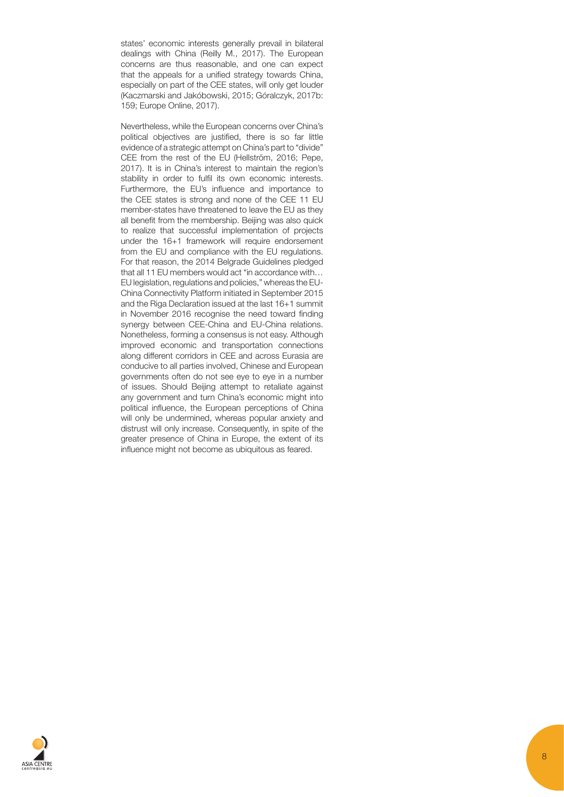states' economic interests generally prevail in bilateral dealings with China (Reilly M., 2017). The European concerns are thus reasonable, and one can expect that the appeals for a unified strategy towards China, especially on part of the CEE states, will only get louder (Kaczmarski and Jakóbowski, 2015; Góralczyk, 2017b: 159; Europe Online, 2017).

Nevertheless, while the European concerns over China's political objectives are justified, there is so far little evidence of a strategic attempt on China's part to "divide" CEE from the rest of the EU (Hellström, 2016; Pepe, 2017). It is in China's interest to maintain the region's stability in order to fulfil its own economic interests. Furthermore, the EU's influence and importance to the CEE states is strong and none of the CEE 11 EU member-states have threatened to leave the EU as they all benefit from the membership. Beijing was also quick to realize that successful implementation of projects under the 16+1 framework will require endorsement from the EU and compliance with the EU regulations. For that reason, the 2014 Belgrade Guidelines pledged that all 11 EU members would act "in accordance with… EU legislation, regulations and policies," whereas the EU-China Connectivity Platform initiated in September 2015 and the Riga Declaration issued at the last 16+1 summit in November 2016 recognise the need toward finding synergy between CEE-China and EU-China relations. Nonetheless, forming a consensus is not easy. Although improved economic and transportation connections along different corridors in CEE and across Eurasia are conducive to all parties involved, Chinese and European governments often do not see eye to eye in a number of issues. Should Beijing attempt to retaliate against any government and turn China's economic might into political influence, the European perceptions of China will only be undermined, whereas popular anxiety and distrust will only increase. Consequently, in spite of the greater presence of China in Europe, the extent of its influence might not become as ubiquitous as feared.

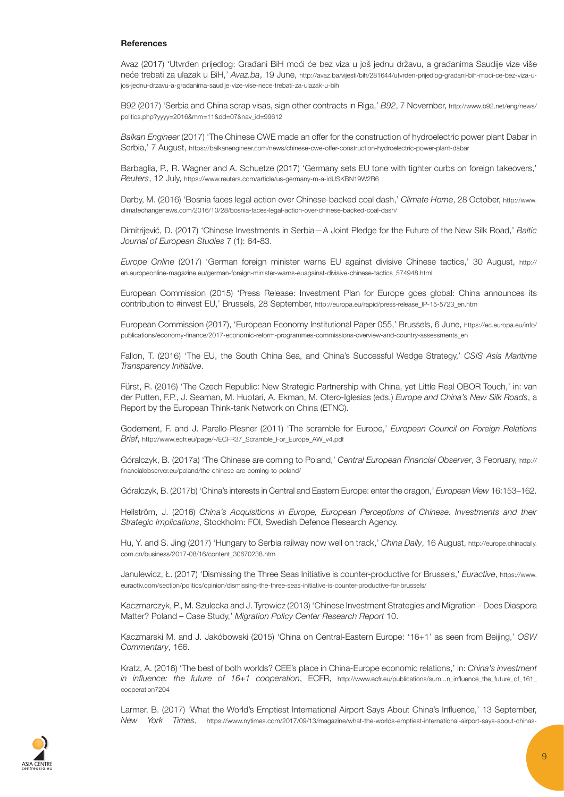## References

Avaz (2017) 'Utvrđen prijedlog: Građani BiH moći će bez viza u još jednu državu, a građanima Saudije vize više neće trebati za ulazak u BiH,' Avaz.ba, 19 June, [http://avaz.ba/vijesti/bih/281644/utvrden-prijedlog-gradani-bih-moci-ce-bez-viza-u](http://avaz.ba/vijesti/bih/281644/utvrden-prijedlog-gradani-bih-moci-ce-bez-viza-u-jos-jednu-drzavu-a-gradanima-saudije-vize-vise-nece-trebati-za-ulazak-u-bih)[jos-jednu-drzavu-a-gradanima-saudije-vize-vise-nece-trebati-za-ulazak-u-bih](http://avaz.ba/vijesti/bih/281644/utvrden-prijedlog-gradani-bih-moci-ce-bez-viza-u-jos-jednu-drzavu-a-gradanima-saudije-vize-vise-nece-trebati-za-ulazak-u-bih)

B92 (2017) 'Serbia and China scrap visas, sign other contracts in Riga,' B92, 7 November, [http://www.b92.net/eng/news/](http://www.b92.net/eng/news/politics.php%3Fyyyy%3D2016%26mm%3D11%26dd%3D07%26nav_id%3D99612) [politics.php?yyyy=2016&mm=11&dd=07&nav\\_id=99612](http://www.b92.net/eng/news/politics.php%3Fyyyy%3D2016%26mm%3D11%26dd%3D07%26nav_id%3D99612)

Balkan Engineer (2017) 'The Chinese CWE made an offer for the construction of hydroelectric power plant Dabar in Serbia,' 7 August, <https://balkanengineer.com/news/chinese-cwe-offer-construction-hydroelectric-power-plant-dabar>

Barbaglia, P., R. Wagner and A. Schuetze (2017) 'Germany sets EU tone with tighter curbs on foreign takeovers,' Reuters, 12 July,<https://www.reuters.com/article/us-germany-m-a-idUSKBN19W2R6>

Darby, M. (2016) 'Bosnia faces legal action over Chinese-backed coal dash,' Climate Home, 28 October, [http://www.](http://www.climatechangenews.com/2016/10/28/bosnia-faces-legal-action-over-chinese-backed-coal-dash/) [climatechangenews.com/2016/10/28/bosnia-faces-legal-action-over-chinese-backed-coal-dash/](http://www.climatechangenews.com/2016/10/28/bosnia-faces-legal-action-over-chinese-backed-coal-dash/)

Dimitrijević, D. (2017) 'Chinese Investments in Serbia—A Joint Pledge for the Future of the New Silk Road,' Baltic Journal of European Studies 7 (1): 64-83.

Europe Online (2017) 'German foreign minister warns EU against divisive Chinese tactics,' 30 August, [http://](http://en.europeonline-magazine.eu/german-foreign-minister-warns-euagainst-divisive-chinese-tactics_574948.html) [en.europeonline-magazine.eu/german-foreign-minister-warns-euagainst-divisive-chinese-tactics\\_574948.html](http://en.europeonline-magazine.eu/german-foreign-minister-warns-euagainst-divisive-chinese-tactics_574948.html)

European Commission (2015) 'Press Release: Investment Plan for Europe goes global: China announces its contribution to #invest EU,' Brussels, 28 September, [http://europa.eu/rapid/press-release\\_IP-15-5723\\_en.htm](http://europa.eu/rapid/press-release_IP-15-5723_en.htm)

European Commission (2017), 'European Economy Institutional Paper 055,' Brussels, 6 June, [https://ec.europa.eu/info/](https://ec.europa.eu/info/publications/economy-finance/2017-economic-reform-programmes-commissions-overview-and-country-assessments_en) [publications/economy-finance/2017-economic-reform-programmes-commissions-overview-and-country-assessments\\_en](https://ec.europa.eu/info/publications/economy-finance/2017-economic-reform-programmes-commissions-overview-and-country-assessments_en)

Fallon, T. (2016) 'The EU, the South China Sea, and China's Successful Wedge Strategy,' CSIS Asia Maritime Transparency Initiative.

Fürst, R. (2016) 'The Czech Republic: New Strategic Partnership with China, yet Little Real OBOR Touch,' in: van der Putten, F.P., J. Seaman, M. Huotari, A. Ekman, M. Otero-Iglesias (eds.) Europe and China's New Silk Roads, a Report by the European Think-tank Network on China (ETNC).

Godement, F. and J. Parello-Plesner (2011) 'The scramble for Europe,' European Council on Foreign Relations Brief, [http://www.ecfr.eu/page/-/ECFR37\\_Scramble\\_For\\_Europe\\_AW\\_v4.pdf](http://www.ecfr.eu/page/-/ECFR37_Scramble_For_Europe_AW_v4.pdf)

Góralczyk, B. (2017a) 'The Chinese are coming to Poland,' Central European Financial Observer, 3 February, [http://](http://financialobserver.eu/poland/the-chinese-are-coming-to-poland/) [financialobserver.eu/poland/the-chinese-are-coming-to-poland/](http://financialobserver.eu/poland/the-chinese-are-coming-to-poland/)

Góralczyk, B. (2017b) 'China's interests in Central and Eastern Europe: enter the dragon,' European View 16:153–162.

Hellström, J. (2016) China's Acquisitions in Europe, European Perceptions of Chinese. Investments and their Strategic Implications, Stockholm: FOI, Swedish Defence Research Agency.

Hu, Y. and S. Jing (2017) 'Hungary to Serbia railway now well on track,' China Daily, 16 August, [http://europe.chinadaily.](http://europe.chinadaily.com.cn/business/2017-08/16/content_30670238.htm) [com.cn/business/2017-08/16/content\\_30670238.htm](http://europe.chinadaily.com.cn/business/2017-08/16/content_30670238.htm)

Janulewicz, Ł. (2017) 'Dismissing the Three Seas Initiative is counter-productive for Brussels,' Euractive, [https://www.](https://www.euractiv.com/section/politics/opinion/dismissing-the-three-seas-initiative-is-counter-productive-for-brussels/) [euractiv.com/section/politics/opinion/dismissing-the-three-seas-initiative-is-counter-productive-for-brussels/](https://www.euractiv.com/section/politics/opinion/dismissing-the-three-seas-initiative-is-counter-productive-for-brussels/)

Kaczmarczyk, P., M. Szulecka and J. Tyrowicz (2013) 'Chinese Investment Strategies and Migration – Does Diaspora Matter? Poland – Case Study,' Migration Policy Center Research Report 10.

Kaczmarski M. and J. Jakóbowski (2015) 'China on Central-Eastern Europe: '16+1' as seen from Beijing,' OSW Commentary, 166.

Kratz, A. (2016) 'The best of both worlds? CEE's place in China-Europe economic relations,' in: China's investment in influence: the future of 16+1 cooperation, ECFR, [http://www.ecfr.eu/publications/sum...n\\_influence\\_the\\_future\\_of\\_161\\_](http://www.ecfr.eu/publications/sum...n_influence_the_future_of_161_cooperation7204) [cooperation7204](http://www.ecfr.eu/publications/sum...n_influence_the_future_of_161_cooperation7204)

Larmer, B. (2017) 'What the World's Emptiest International Airport Says About China's Influence,' 13 September, New York Times, [https://www.nytimes.com/2017/09/13/magazine/what-the-worlds-emptiest-international-airport-says-about-chinas-](https://www.nytimes.com/2017/09/13/magazine/what-the-worlds-emptiest-international-airport-says-about-chinas-influence.html)

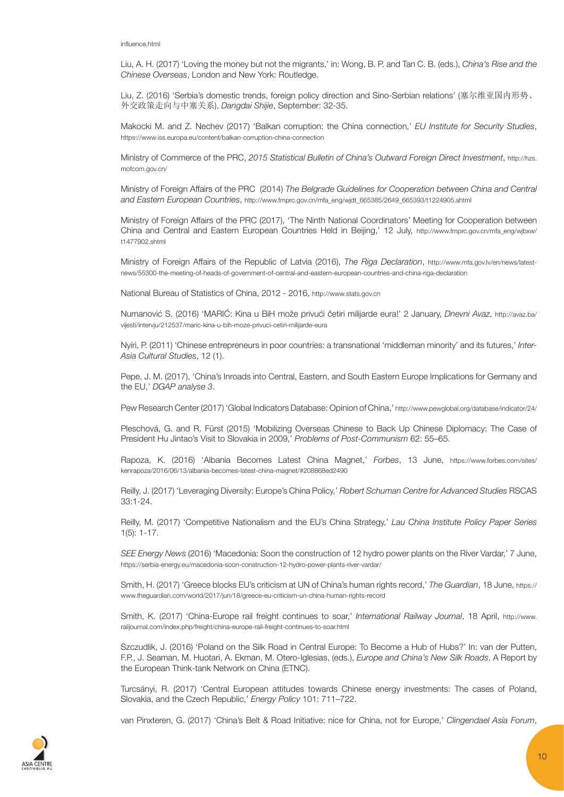Liu, A. H. (2017) 'Loving the money but not the migrants,' in: Wong, B. P. and Tan C. B. (eds.), China's Rise and the Chinese Overseas, London and New York: Routledge.

Liu, Z. (2016) 'Serbia's domestic trends, foreign policy direction and Sino-Serbian relations' (塞尔维亚国内形势、 外交政策走向与中塞关系), Dangdai Shijie, September: 32-35.

Makocki M. and Z. Nechev (2017) 'Balkan corruption: the China connection,' EU Institute for Security Studies, <https://www.iss.europa.eu/content/balkan-corruption-china-connection>

Ministry of Commerce of the PRC, 2015 Statistical Bulletin of China's Outward Foreign Direct Investment, [http://hzs.](http://hzs.mofcom.gov.cn/) [mofcom.gov.cn/](http://hzs.mofcom.gov.cn/)

Ministry of Foreign Affairs of the PRC (2014) The Belgrade Guidelines for Cooperation between China and Central and Eastern European Countries, [http://www.fmprc.gov.cn/mfa\\_eng/wjdt\\_665385/2649\\_665393/t1224905.shtml](http://www.fmprc.gov.cn/mfa_eng/wjdt_665385/2649_665393/t1224905.shtml) 

Ministry of Foreign Affairs of the PRC (2017), 'The Ninth National Coordinators' Meeting for Cooperation between China and Central and Eastern European Countries Held in Beijing,' 12 July, [http://www.fmprc.gov.cn/mfa\\_eng/wjbxw/](http://www.fmprc.gov.cn/mfa_eng/wjbxw/t1477902.shtml) [t1477902.shtml](http://www.fmprc.gov.cn/mfa_eng/wjbxw/t1477902.shtml)

Ministry of Foreign Affairs of the Republic of Latvia (2016), The Riga Declaration, [http://www.mfa.gov.lv/en/news/latest](http://www.mfa.gov.lv/en/news/latest-news/55300-the-meeting-of-heads-of-government-of-central-and-eastern-european-countries-and-china-riga-declaration)[news/55300-the-meeting-of-heads-of-government-of-central-and-eastern-european-countries-and-china-riga-declaration](http://www.mfa.gov.lv/en/news/latest-news/55300-the-meeting-of-heads-of-government-of-central-and-eastern-european-countries-and-china-riga-declaration)

National Bureau of Statistics of China, 2012 - 2016, <http://www.stats.gov.cn>

Numanović S. (2016) 'MARIĆ: Kina u BiH može privući četiri milijarde eura!' 2 January, Dnevni Avaz, [http://avaz.ba/](http://avaz.ba/vijesti/intervju/212537/maric-kina-u-bih-moze-privuci-cetiri-milijarde-eura) [vijesti/intervju/212537/maric-kina-u-bih-moze-privuci-cetiri-milijarde-eura](http://avaz.ba/vijesti/intervju/212537/maric-kina-u-bih-moze-privuci-cetiri-milijarde-eura)

Nyíri, P. (2011) 'Chinese entrepreneurs in poor countries: a transnational 'middleman minority' and its futures,' Inter-Asia Cultural Studies, 12 (1).

Pepe, J. M. (2017), 'China's Inroads into Central, Eastern, and South Eastern Europe Implications for Germany and the EU,' DGAP analyse 3.

Pew Research Center (2017) 'Global Indicators Database: Opinion of China,'<http://www.pewglobal.org/database/indicator/24/>

Pleschová, G. and R. Fürst (2015) 'Mobilizing Overseas Chinese to Back Up Chinese Diplomacy: The Case of President Hu Jintao's Visit to Slovakia in 2009,' Problems of Post-Communism 62: 55–65.

Rapoza, K. (2016) 'Albania Becomes Latest China Magnet,' Forbes, 13 June, [https://www.forbes.com/sites/](https://www.forbes.com/sites/kenrapoza/2016/06/13/albania-becomes-latest-china-magnet/%23208868ed2490) [kenrapoza/2016/06/13/albania-becomes-latest-china-magnet/#208868ed2490](https://www.forbes.com/sites/kenrapoza/2016/06/13/albania-becomes-latest-china-magnet/%23208868ed2490)

Reilly, J. (2017) 'Leveraging Diversity: Europe's China Policy,' Robert Schuman Centre for Advanced Studies RSCAS 33:1-24.

Reilly, M. (2017) 'Competitive Nationalism and the EU's China Strategy,' Lau China Institute Policy Paper Series 1(5): 1-17.

SEE Energy News (2016) 'Macedonia: Soon the construction of 12 hydro power plants on the River Vardar,' 7 June, <https://serbia-energy.eu/macedonia-soon-construction-12-hydro-power-plants-river-vardar/>

Smith, H. (2017) 'Greece blocks EU's criticism at UN of China's human rights record,' The Guardian, 18 June, [https://](https://www.theguardian.com/world/2017/jun/18/greece-eu-criticism-un-china-human-rights-record) [www.theguardian.com/world/2017/jun/18/greece-eu-criticism-un-china-human-rights-record](https://www.theguardian.com/world/2017/jun/18/greece-eu-criticism-un-china-human-rights-record)

Smith, K. (2017) 'China-Europe rail freight continues to soar,' International Railway Journal, 18 April, [http://www.](http://www.railjournal.com/index.php/freight/china-europe-rail-freight-continues-to-soar.html) [railjournal.com/index.php/freight/china-europe-rail-freight-continues-to-soar.html](http://www.railjournal.com/index.php/freight/china-europe-rail-freight-continues-to-soar.html)

Szczudlik, J. (2016) 'Poland on the Silk Road in Central Europe: To Become a Hub of Hubs?' In: van der Putten, F.P., J. Seaman, M. Huotari, A. Ekman, M. Otero-Iglesias, (eds.), Europe and China's New Silk Roads, A Report by the European Think-tank Network on China (ETNC).

Turcsányi, R. (2017) 'Central European attitudes towards Chinese energy investments: The cases of Poland, Slovakia, and the Czech Republic,' Energy Policy 101: 711–722.

van Pinxteren, G. (2017) 'China's Belt & Road Initiative: nice for China, not for Europe,' Clingendael Asia Forum,